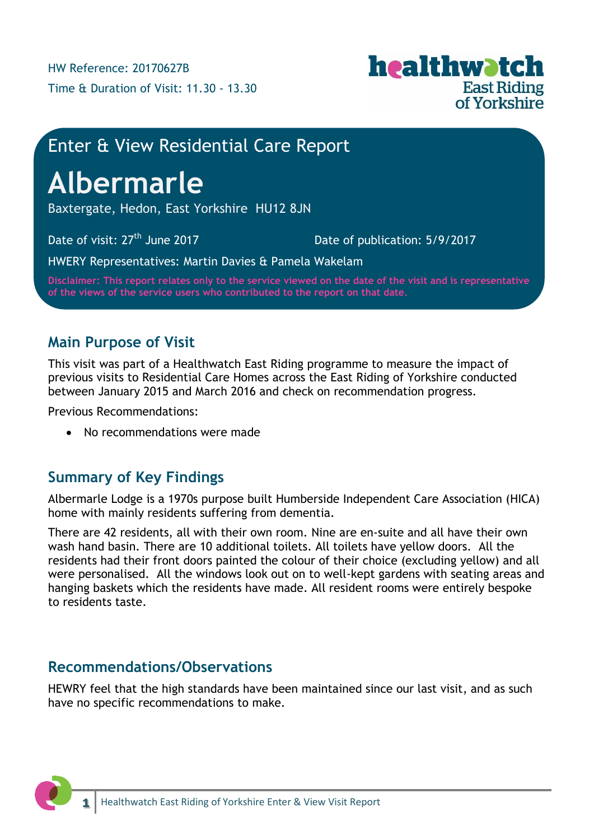

# Enter & View Residential Care Report

# **Albermarle**

Baxtergate, Hedon, East Yorkshire HU12 8JN

Date of visit:  $27<sup>th</sup>$  June 2017 Date of publication: 5/9/2017

HWERY Representatives: Martin Davies & Pamela Wakelam

**Disclaimer: This report relates only to the service viewed on the date of the visit and is representative of the views of the service users who contributed to the report on that date.**

## **Main Purpose of Visit**

This visit was part of a Healthwatch East Riding programme to measure the impact of previous visits to Residential Care Homes across the East Riding of Yorkshire conducted between January 2015 and March 2016 and check on recommendation progress.

Previous Recommendations:

• No recommendations were made

## **Summary of Key Findings**

Albermarle Lodge is a 1970s purpose built Humberside Independent Care Association (HICA) home with mainly residents suffering from dementia.

There are 42 residents, all with their own room. Nine are en-suite and all have their own wash hand basin. There are 10 additional toilets. All toilets have yellow doors. All the residents had their front doors painted the colour of their choice (excluding yellow) and all were personalised. All the windows look out on to well-kept gardens with seating areas and hanging baskets which the residents have made. All resident rooms were entirely bespoke to residents taste.

## **Recommendations/Observations**

HEWRY feel that the high standards have been maintained since our last visit, and as such have no specific recommendations to make.

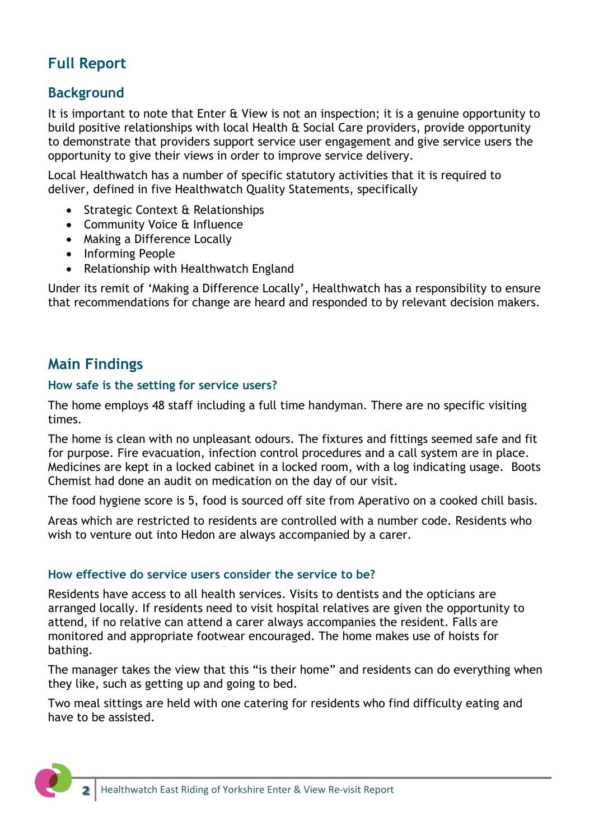## **Full Report**

## **Background**

It is important to note that Enter & View is not an inspection; it is a genuine opportunity to build positive relationships with local Health & Social Care providers, provide opportunity to demonstrate that providers support service user engagement and give service users the opportunity to give their views in order to improve service delivery.

Local Healthwatch has a number of specific statutory activities that it is required to deliver, defined in five Healthwatch Quality Statements, specifically

- Strategic Context & Relationships
- Community Voice & Influence
- Making a Difference Locally
- Informing People
- Relationship with Healthwatch England

Under its remit of 'Making a Difference Locally', Healthwatch has a responsibility to ensure that recommendations for change are heard and responded to by relevant decision makers.

## **Main Findings**

#### **How safe is the setting for service users?**

The home employs 48 staff including a full time handyman. There are no specific visiting times.

The home is clean with no unpleasant odours. The fixtures and fittings seemed safe and fit for purpose. Fire evacuation, infection control procedures and a call system are in place. Medicines are kept in a locked cabinet in a locked room, with a log indicating usage. Boots Chemist had done an audit on medication on the day of our visit.

The food hygiene score is 5, food is sourced off site from Aperativo on a cooked chill basis.

Areas which are restricted to residents are controlled with a number code. Residents who wish to venture out into Hedon are always accompanied by a carer.

#### **How effective do service users consider the service to be?**

Residents have access to all health services. Visits to dentists and the opticians are arranged locally. If residents need to visit hospital relatives are given the opportunity to attend, if no relative can attend a carer always accompanies the resident. Falls are monitored and appropriate footwear encouraged. The home makes use of hoists for bathing.

The manager takes the view that this "is their home" and residents can do everything when they like, such as getting up and going to bed.

Two meal sittings are held with one catering for residents who find difficulty eating and have to be assisted.

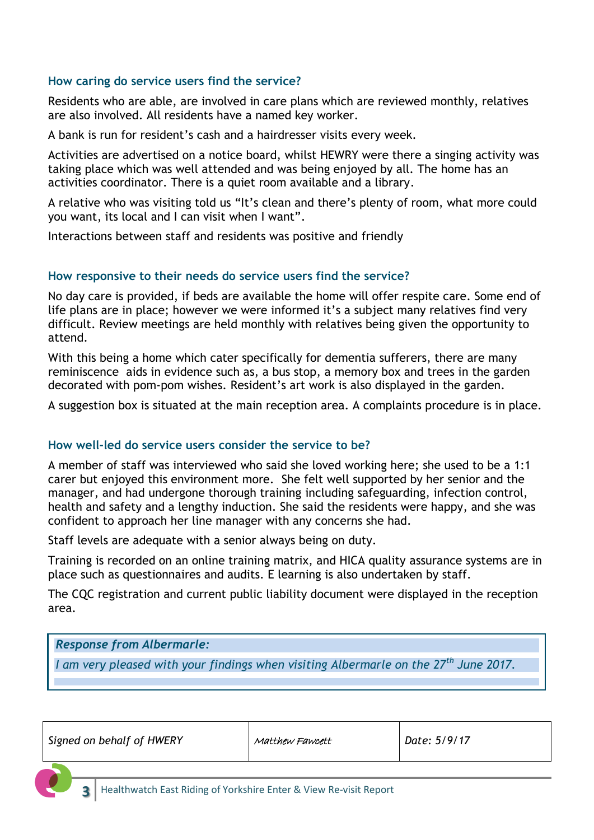#### **How caring do service users find the service?**

Residents who are able, are involved in care plans which are reviewed monthly, relatives are also involved. All residents have a named key worker.

A bank is run for resident's cash and a hairdresser visits every week.

Activities are advertised on a notice board, whilst HEWRY were there a singing activity was taking place which was well attended and was being enjoyed by all. The home has an activities coordinator. There is a quiet room available and a library.

A relative who was visiting told us "It's clean and there's plenty of room, what more could you want, its local and I can visit when I want".

Interactions between staff and residents was positive and friendly

#### **How responsive to their needs do service users find the service?**

No day care is provided, if beds are available the home will offer respite care. Some end of life plans are in place; however we were informed it's a subject many relatives find very difficult. Review meetings are held monthly with relatives being given the opportunity to attend.

With this being a home which cater specifically for dementia sufferers, there are many reminiscence aids in evidence such as, a bus stop, a memory box and trees in the garden decorated with pom-pom wishes. Resident's art work is also displayed in the garden.

A suggestion box is situated at the main reception area. A complaints procedure is in place.

#### **How well-led do service users consider the service to be?**

A member of staff was interviewed who said she loved working here; she used to be a 1:1 carer but enjoyed this environment more. She felt well supported by her senior and the manager, and had undergone thorough training including safeguarding, infection control, health and safety and a lengthy induction. She said the residents were happy, and she was confident to approach her line manager with any concerns she had.

Staff levels are adequate with a senior always being on duty.

Training is recorded on an online training matrix, and HICA quality assurance systems are in place such as questionnaires and audits. E learning is also undertaken by staff.

The CQC registration and current public liability document were displayed in the reception area.

#### *Response from Albermarle:*

*I am very pleased with your findings when visiting Albermarle on the 27th June 2017.*

| Signed on behalf of HWERY | Matthew Fawcett | Date: 5/9/17 |
|---------------------------|-----------------|--------------|
|---------------------------|-----------------|--------------|